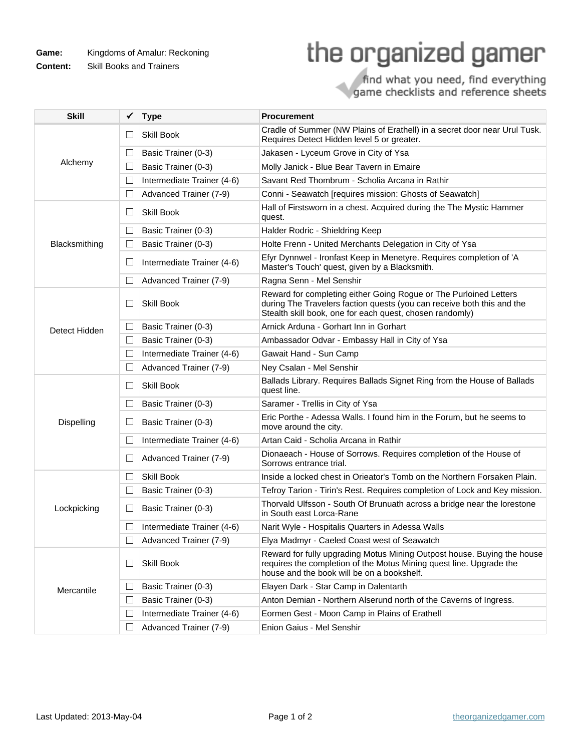**Game:** Kingdoms of Amalur: Reckoning

**Content:** Skill Books and Trainers

## the organized gamer

## find what you need, find everything<br>game checklists and reference sheets

| <b>Skill</b>  | ✓      | <b>Type</b>                | <b>Procurement</b>                                                                                                                                                                                      |
|---------------|--------|----------------------------|---------------------------------------------------------------------------------------------------------------------------------------------------------------------------------------------------------|
| Alchemy       | $\Box$ | <b>Skill Book</b>          | Cradle of Summer (NW Plains of Erathell) in a secret door near Urul Tusk.<br>Requires Detect Hidden level 5 or greater.                                                                                 |
|               | ⊔      | Basic Trainer (0-3)        | Jakasen - Lyceum Grove in City of Ysa                                                                                                                                                                   |
|               | $\Box$ | Basic Trainer (0-3)        | Molly Janick - Blue Bear Tavern in Emaire                                                                                                                                                               |
|               | $\Box$ | Intermediate Trainer (4-6) | Savant Red Thombrum - Scholia Arcana in Rathir                                                                                                                                                          |
|               | ш      | Advanced Trainer (7-9)     | Conni - Seawatch [requires mission: Ghosts of Seawatch]                                                                                                                                                 |
| Blacksmithing | ш      | <b>Skill Book</b>          | Hall of Firstsworn in a chest. Acquired during the The Mystic Hammer<br>quest.                                                                                                                          |
|               | ш      | Basic Trainer (0-3)        | Halder Rodric - Shieldring Keep                                                                                                                                                                         |
|               | ⊔      | Basic Trainer (0-3)        | Holte Frenn - United Merchants Delegation in City of Ysa                                                                                                                                                |
|               | ப      | Intermediate Trainer (4-6) | Efyr Dynnwel - Ironfast Keep in Menetyre. Requires completion of 'A<br>Master's Touch' quest, given by a Blacksmith.                                                                                    |
|               | $\Box$ | Advanced Trainer (7-9)     | Ragna Senn - Mel Senshir                                                                                                                                                                                |
| Detect Hidden | $\Box$ | Skill Book                 | Reward for completing either Going Rogue or The Purloined Letters<br>during The Travelers faction quests (you can receive both this and the<br>Stealth skill book, one for each quest, chosen randomly) |
|               | ⊔      | Basic Trainer (0-3)        | Arnick Arduna - Gorhart Inn in Gorhart                                                                                                                                                                  |
|               | □      | Basic Trainer (0-3)        | Ambassador Odvar - Embassy Hall in City of Ysa                                                                                                                                                          |
|               | $\Box$ | Intermediate Trainer (4-6) | Gawait Hand - Sun Camp                                                                                                                                                                                  |
|               | ш      | Advanced Trainer (7-9)     | Ney Csalan - Mel Senshir                                                                                                                                                                                |
| Dispelling    | ш      | Skill Book                 | Ballads Library. Requires Ballads Signet Ring from the House of Ballads<br>quest line.                                                                                                                  |
|               | ப      | Basic Trainer (0-3)        | Saramer - Trellis in City of Ysa                                                                                                                                                                        |
|               | ⊔      | Basic Trainer (0-3)        | Eric Porthe - Adessa Walls. I found him in the Forum, but he seems to<br>move around the city.                                                                                                          |
|               | $\Box$ | Intermediate Trainer (4-6) | Artan Caid - Scholia Arcana in Rathir                                                                                                                                                                   |
|               | ш      | Advanced Trainer (7-9)     | Dionaeach - House of Sorrows. Requires completion of the House of<br>Sorrows entrance trial.                                                                                                            |
| Lockpicking   | □      | <b>Skill Book</b>          | Inside a locked chest in Orieator's Tomb on the Northern Forsaken Plain.                                                                                                                                |
|               | $\Box$ | Basic Trainer (0-3)        | Tefroy Tarion - Tirin's Rest. Requires completion of Lock and Key mission.                                                                                                                              |
|               | ⊔      | Basic Trainer (0-3)        | Thorvald Ulfsson - South Of Brunuath across a bridge near the lorestone<br>in South east Lorca-Rane                                                                                                     |
|               | $\Box$ | Intermediate Trainer (4-6) | Narit Wyle - Hospitalis Quarters in Adessa Walls                                                                                                                                                        |
|               |        | Advanced Trainer (7-9)     | Elya Madmyr - Caeled Coast west of Seawatch                                                                                                                                                             |
| Mercantile    | ⊔      | Skill Book                 | Reward for fully upgrading Motus Mining Outpost house. Buying the house<br>requires the completion of the Motus Mining quest line. Upgrade the<br>house and the book will be on a bookshelf.            |
|               | ப      | Basic Trainer (0-3)        | Elayen Dark - Star Camp in Dalentarth                                                                                                                                                                   |
|               | ப      | Basic Trainer (0-3)        | Anton Demian - Northern Alserund north of the Caverns of Ingress.                                                                                                                                       |
|               | Ш      | Intermediate Trainer (4-6) | Eormen Gest - Moon Camp in Plains of Erathell                                                                                                                                                           |
|               |        | Advanced Trainer (7-9)     | Enion Gaius - Mel Senshir                                                                                                                                                                               |